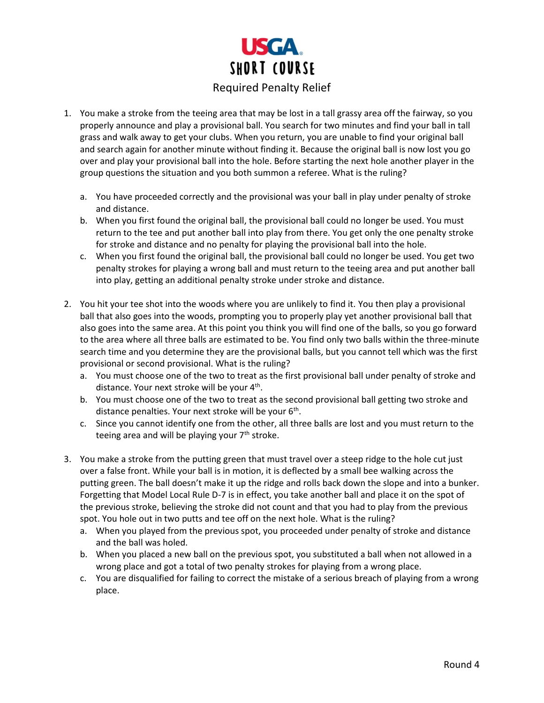

- 1. You make a stroke from the teeing area that may be lost in a tall grassy area off the fairway, so you properly announce and play a provisional ball. You search for two minutes and find your ball in tall grass and walk away to get your clubs. When you return, you are unable to find your original ball and search again for another minute without finding it. Because the original ball is now lost you go over and play your provisional ball into the hole. Before starting the next hole another player in the group questions the situation and you both summon a referee. What is the ruling?
	- a. You have proceeded correctly and the provisional was your ball in play under penalty of stroke and distance.
	- b. When you first found the original ball, the provisional ball could no longer be used. You must return to the tee and put another ball into play from there. You get only the one penalty stroke for stroke and distance and no penalty for playing the provisional ball into the hole.
	- c. When you first found the original ball, the provisional ball could no longer be used. You get two penalty strokes for playing a wrong ball and must return to the teeing area and put another ball into play, getting an additional penalty stroke under stroke and distance.
- 2. You hit your tee shot into the woods where you are unlikely to find it. You then play a provisional ball that also goes into the woods, prompting you to properly play yet another provisional ball that also goes into the same area. At this point you think you will find one of the balls, so you go forward to the area where all three balls are estimated to be. You find only two balls within the three-minute search time and you determine they are the provisional balls, but you cannot tell which was the first provisional or second provisional. What is the ruling?
	- a. You must choose one of the two to treat as the first provisional ball under penalty of stroke and distance. Your next stroke will be your 4<sup>th</sup>.
	- b. You must choose one of the two to treat as the second provisional ball getting two stroke and distance penalties. Your next stroke will be your 6<sup>th</sup>.
	- c. Since you cannot identify one from the other, all three balls are lost and you must return to the teeing area and will be playing your  $7<sup>th</sup>$  stroke.
- 3. You make a stroke from the putting green that must travel over a steep ridge to the hole cut just over a false front. While your ball is in motion, it is deflected by a small bee walking across the putting green. The ball doesn't make it up the ridge and rolls back down the slope and into a bunker. Forgetting that Model Local Rule D-7 is in effect, you take another ball and place it on the spot of the previous stroke, believing the stroke did not count and that you had to play from the previous spot. You hole out in two putts and tee off on the next hole. What is the ruling?
	- a. When you played from the previous spot, you proceeded under penalty of stroke and distance and the ball was holed.
	- b. When you placed a new ball on the previous spot, you substituted a ball when not allowed in a wrong place and got a total of two penalty strokes for playing from a wrong place.
	- c. You are disqualified for failing to correct the mistake of a serious breach of playing from a wrong place.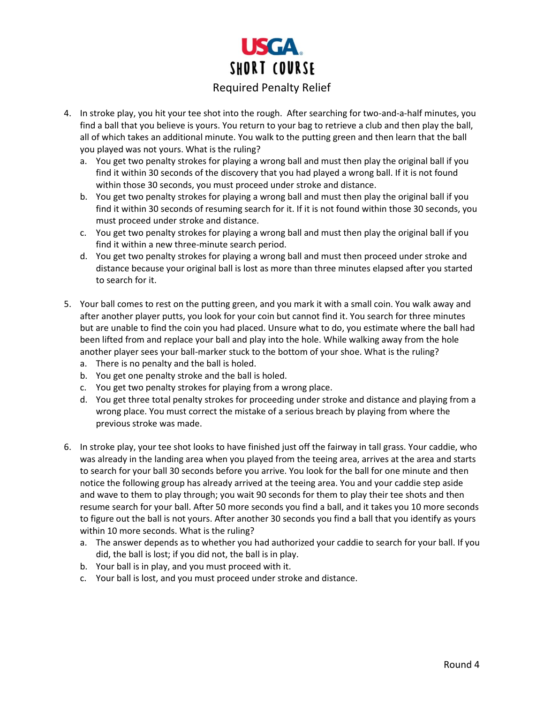

- 4. In stroke play, you hit your tee shot into the rough. After searching for two-and-a-half minutes, you find a ball that you believe is yours. You return to your bag to retrieve a club and then play the ball, all of which takes an additional minute. You walk to the putting green and then learn that the ball you played was not yours. What is the ruling?
	- a. You get two penalty strokes for playing a wrong ball and must then play the original ball if you find it within 30 seconds of the discovery that you had played a wrong ball. If it is not found within those 30 seconds, you must proceed under stroke and distance.
	- b. You get two penalty strokes for playing a wrong ball and must then play the original ball if you find it within 30 seconds of resuming search for it. If it is not found within those 30 seconds, you must proceed under stroke and distance.
	- c. You get two penalty strokes for playing a wrong ball and must then play the original ball if you find it within a new three-minute search period.
	- d. You get two penalty strokes for playing a wrong ball and must then proceed under stroke and distance because your original ball is lost as more than three minutes elapsed after you started to search for it.
- 5. Your ball comes to rest on the putting green, and you mark it with a small coin. You walk away and after another player putts, you look for your coin but cannot find it. You search for three minutes but are unable to find the coin you had placed. Unsure what to do, you estimate where the ball had been lifted from and replace your ball and play into the hole. While walking away from the hole another player sees your ball-marker stuck to the bottom of your shoe. What is the ruling?
	- a. There is no penalty and the ball is holed.
	- b. You get one penalty stroke and the ball is holed.
	- c. You get two penalty strokes for playing from a wrong place.
	- d. You get three total penalty strokes for proceeding under stroke and distance and playing from a wrong place. You must correct the mistake of a serious breach by playing from where the previous stroke was made.
- 6. In stroke play, your tee shot looks to have finished just off the fairway in tall grass. Your caddie, who was already in the landing area when you played from the teeing area, arrives at the area and starts to search for your ball 30 seconds before you arrive. You look for the ball for one minute and then notice the following group has already arrived at the teeing area. You and your caddie step aside and wave to them to play through; you wait 90 seconds for them to play their tee shots and then resume search for your ball. After 50 more seconds you find a ball, and it takes you 10 more seconds to figure out the ball is not yours. After another 30 seconds you find a ball that you identify as yours within 10 more seconds. What is the ruling?
	- a. The answer depends as to whether you had authorized your caddie to search for your ball. If you did, the ball is lost; if you did not, the ball is in play.
	- b. Your ball is in play, and you must proceed with it.
	- c. Your ball is lost, and you must proceed under stroke and distance.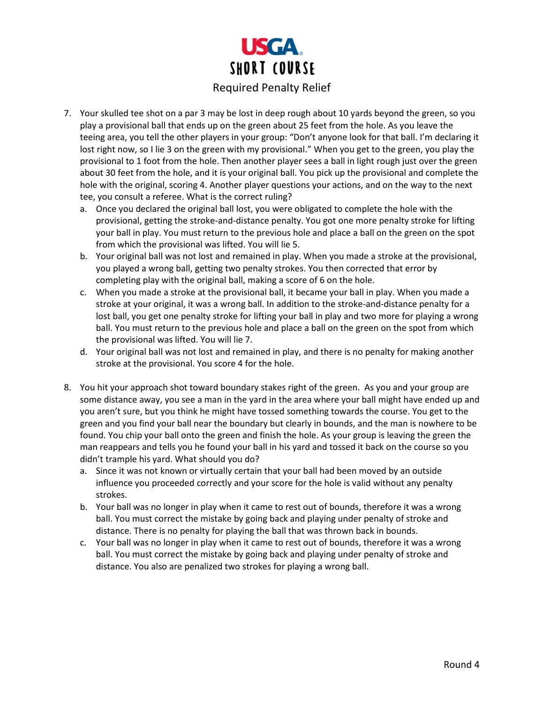

- 7. Your skulled tee shot on a par 3 may be lost in deep rough about 10 yards beyond the green, so you play a provisional ball that ends up on the green about 25 feet from the hole. As you leave the teeing area, you tell the other players in your group: "Don't anyone look for that ball. I'm declaring it lost right now, so I lie 3 on the green with my provisional." When you get to the green, you play the provisional to 1 foot from the hole. Then another player sees a ball in light rough just over the green about 30 feet from the hole, and it is your original ball. You pick up the provisional and complete the hole with the original, scoring 4. Another player questions your actions, and on the way to the next tee, you consult a referee. What is the correct ruling?
	- a. Once you declared the original ball lost, you were obligated to complete the hole with the provisional, getting the stroke-and-distance penalty. You got one more penalty stroke for lifting your ball in play. You must return to the previous hole and place a ball on the green on the spot from which the provisional was lifted. You will lie 5.
	- b. Your original ball was not lost and remained in play. When you made a stroke at the provisional, you played a wrong ball, getting two penalty strokes. You then corrected that error by completing play with the original ball, making a score of 6 on the hole.
	- c. When you made a stroke at the provisional ball, it became your ball in play. When you made a stroke at your original, it was a wrong ball. In addition to the stroke-and-distance penalty for a lost ball, you get one penalty stroke for lifting your ball in play and two more for playing a wrong ball. You must return to the previous hole and place a ball on the green on the spot from which the provisional was lifted. You will lie 7.
	- d. Your original ball was not lost and remained in play, and there is no penalty for making another stroke at the provisional. You score 4 for the hole.
- 8. You hit your approach shot toward boundary stakes right of the green. As you and your group are some distance away, you see a man in the yard in the area where your ball might have ended up and you aren't sure, but you think he might have tossed something towards the course. You get to the green and you find your ball near the boundary but clearly in bounds, and the man is nowhere to be found. You chip your ball onto the green and finish the hole. As your group is leaving the green the man reappears and tells you he found your ball in his yard and tossed it back on the course so you didn't trample his yard. What should you do?
	- a. Since it was not known or virtually certain that your ball had been moved by an outside influence you proceeded correctly and your score for the hole is valid without any penalty strokes.
	- b. Your ball was no longer in play when it came to rest out of bounds, therefore it was a wrong ball. You must correct the mistake by going back and playing under penalty of stroke and distance. There is no penalty for playing the ball that was thrown back in bounds.
	- c. Your ball was no longer in play when it came to rest out of bounds, therefore it was a wrong ball. You must correct the mistake by going back and playing under penalty of stroke and distance. You also are penalized two strokes for playing a wrong ball.